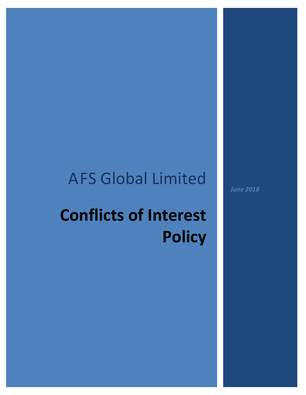# AFS Global Limited

# **Conflicts of Interest Policy**

*June 2018*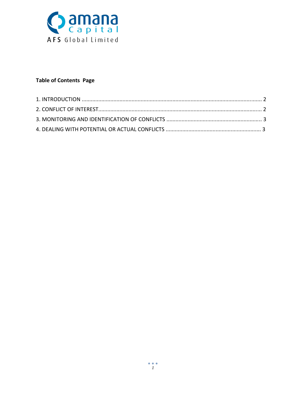

# **Table of Contents Page**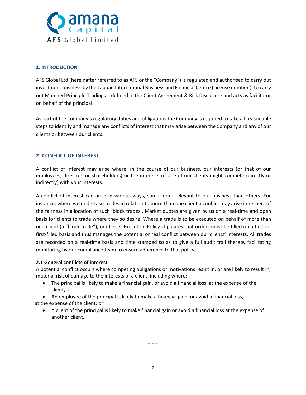

### **1. INTRODUCTION**

AFS Global Ltd (hereinafter referred to as AFS or the "Company") is regulated and authorised to carry out investment business by the Labuan International Business and Financial Centre (License number ), to carry out Matched Principle Trading as defined in the Client Agreement & Risk Disclosure and acts as facilitator on behalf of the principal.

As part of the Company's regulatory duties and obligations the Company is required to take all reasonable steps to identify and manage any conflicts of interest that may arise between the Company and any of our clients or between our clients.

# **2. CONFLICT OF INTEREST**

A conflict of interest may arise where, in the course of our business, our interests (or that of our employees, directors or shareholders) or the interests of one of our clients might compete (directly or indirectly) with your interests.

A conflict of interest can arise in various ways, some more relevant to our business than others. For instance, where we undertake trades in relation to more than one client a conflict may arise in respect of the fairness in allocation of such 'block trades'. Market quotes are given by us on a real-time and open basis for clients to trade where they so desire. Where a trade is to be executed on behalf of more than one client (a "block trade"), our Order Execution Policy stipulates that orders must be filled on a first-infirst-filled basis and thus manages the potential or real conflict between our clients' interests. All trades are recorded on a real-time basis and time stamped so as to give a full audit trail thereby facilitating monitoring by our compliance team to ensure adherence to that policy.

#### **2.1 General conflicts of interest**

A potential conflict occurs where competing obligations or motivations result in, or are likely to result in, material risk of damage to the interests of a client, including where:

- The principal is likely to make a financial gain, or avoid a financial loss, at the expense of the client; or
- An employee of the principal is likely to make a financial gain, or avoid a financial loss,

at the expense of the client; or

• A client of the principal is likely to make financial gain or avoid a financial loss at the expense of another client.

 $\bullet$   $\bullet$   $\bullet$